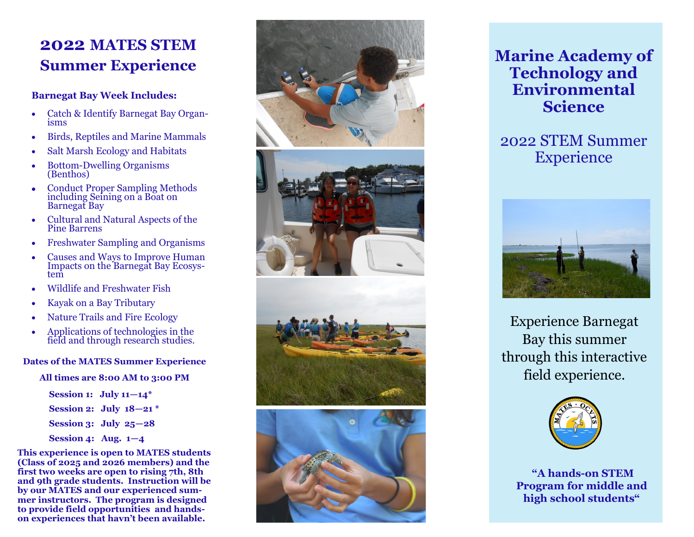# **2022 MATES STEM Summer Experience**

#### **Barnegat Bay Week Includes:**

- Catch & Identify Barnegat Bay Organisms
- Birds, Reptiles and Marine Mammals
- Salt Marsh Ecology and Habitats
- Bottom-Dwelling Organisms (Benthos)
- Conduct Proper Sampling Methods including Seining on a Boat on Barnegat Bay
- Cultural and Natural Aspects of the Pine Barrens
- Freshwater Sampling and Organisms
- Causes and Ways to Improve Human Impacts on the Barnegat Bay Ecosystem
- Wildlife and Freshwater Fish
- Kayak on a Bay Tributary
- Nature Trails and Fire Ecology
- Applications of technologies in the field and through research studies.

### **Dates of the MATES Summer Experience**

#### **All times are 8:00 AM to 3:00 PM**

**Session 1: July 11 —14\* Session 2: July 18 —21 \* Session 3: July 25 —28 Session 4: Aug. 1 — 4**

**This experience is open to MATES students (Class of 2025 and 2026 members) and the first two weeks are open to rising 7th, 8th and 9th grade students. Instruction will be by our MATES and our experienced summer instructors. The program is designed to provide field opportunities and hands on experiences that havn 't been available.**



## **Marine Academy of Technology and Environmental Science**

## 2022 STEM Summer **Experience**



Experience Barnegat Bay this summer through this interactive field experience.



**"A hands-on STEM Program for middle and high school students "**